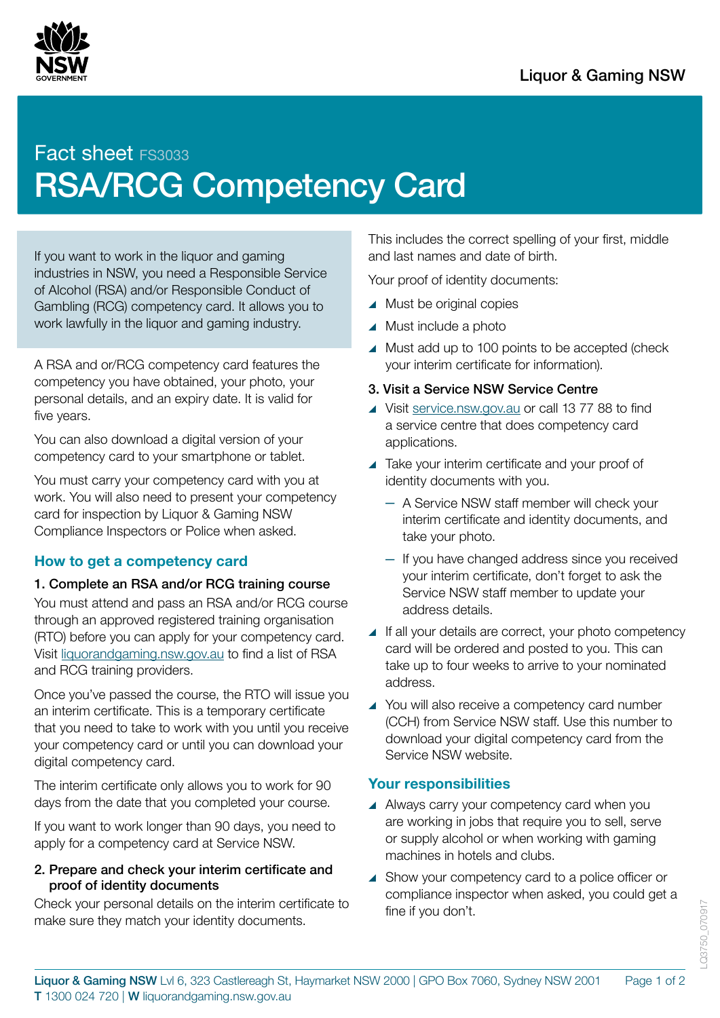

# Fact sheet FS3033 RSA/RCG Competency Card

If you want to work in the liquor and gaming industries in NSW, you need a Responsible Service of Alcohol (RSA) and/or Responsible Conduct of Gambling (RCG) competency card. It allows you to work lawfully in the liquor and gaming industry.

A RSA and or/RCG competency card features the competency you have obtained, your photo, your personal details, and an expiry date. It is valid for five years.

You can also download a digital version of your competency card to your smartphone or tablet.

You must carry your competency card with you at work. You will also need to present your competency card for inspection by Liquor & Gaming NSW Compliance Inspectors or Police when asked.

# **How to get a competency card**

#### 1. Complete an RSA and/or RCG training course

You must attend and pass an RSA and/or RCG course through an approved registered training organisation (RTO) before you can apply for your competency card. Visit [liquorandgaming.nsw.gov.au](http://www.liquorandgaming.nsw.gov.au/) to find a list of RSA and RCG training providers.

Once you've passed the course, the RTO will issue you an interim certificate. This is a temporary certificate that you need to take to work with you until you receive your competency card or until you can download your digital competency card.

The interim certificate only allows you to work for 90 days from the date that you completed your course.

If you want to work longer than 90 days, you need to apply for a competency card at Service NSW.

#### 2. Prepare and check your interim certificate and proof of identity documents

Check your personal details on the interim certificate to make sure they match your identity documents.

This includes the correct spelling of your first, middle and last names and date of birth.

Your proof of identity documents:

- $\blacktriangle$  Must be original copies
- $\blacktriangle$  Must include a photo
- ▲ Must add up to 100 points to be accepted (check your interim certificate for information).
- 3. Visit a Service NSW Service Centre
- ▲ Visit [service.nsw.gov.au](https://www.service.nsw.gov.au/) or call 13 77 88 to find a service centre that does competency card applications.
- ▲ Take your interim certificate and your proof of identity documents with you.
	- A Service NSW staff member will check your interim certificate and identity documents, and take your photo.
	- If you have changed address since you received your interim certificate, don't forget to ask the Service NSW staff member to update your address details.
- If all your details are correct, your photo competency card will be ordered and posted to you. This can take up to four weeks to arrive to your nominated address.
- ▲ You will also receive a competency card number (CCH) from Service NSW staff. Use this number to download your digital competency card from the Service NSW website.

## **Your responsibilities**

- ▲ Always carry your competency card when you are working in jobs that require you to sell, serve or supply alcohol or when working with gaming machines in hotels and clubs.
- ▲ Show your competency card to a police officer or compliance inspector when asked, you could get a fine if you don't.